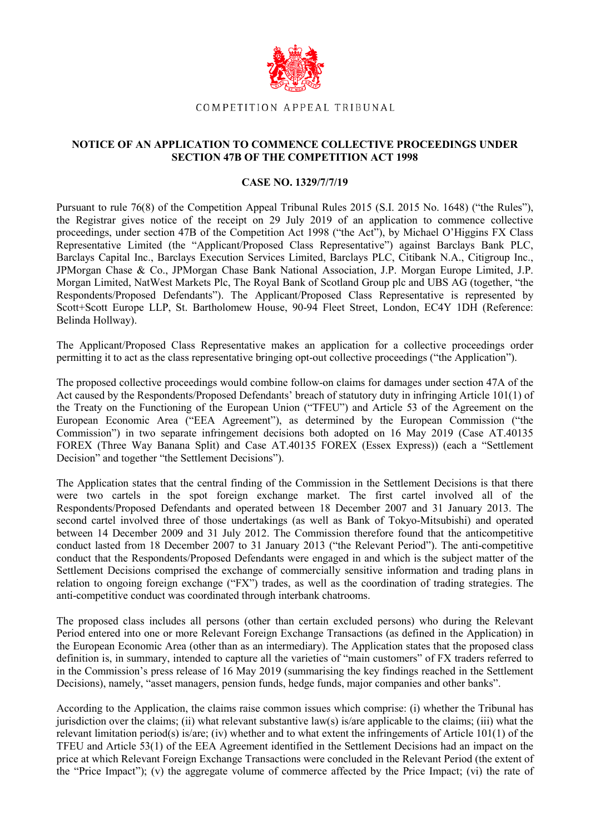

## COMPETITION APPEAL TRIBUNAL

## **NOTICE OF AN APPLICATION TO COMMENCE COLLECTIVE PROCEEDINGS UNDER SECTION 47B OF THE COMPETITION ACT 1998**

## **CASE NO. 1329/7/7/19**

Pursuant to rule 76(8) of the Competition Appeal Tribunal Rules 2015 (S.I. 2015 No. 1648) ("the Rules"), the Registrar gives notice of the receipt on 29 July 2019 of an application to commence collective proceedings, under section 47B of the Competition Act 1998 ("the Act"), by Michael O'Higgins FX Class Representative Limited (the "Applicant/Proposed Class Representative") against Barclays Bank PLC, Barclays Capital Inc., Barclays Execution Services Limited, Barclays PLC, Citibank N.A., Citigroup Inc., JPMorgan Chase & Co., JPMorgan Chase Bank National Association, J.P. Morgan Europe Limited, J.P. Morgan Limited, NatWest Markets Plc, The Royal Bank of Scotland Group plc and UBS AG (together, "the Respondents/Proposed Defendants"). The Applicant/Proposed Class Representative is represented by Scott+Scott Europe LLP, St. Bartholomew House, 90-94 Fleet Street, London, EC4Y 1DH (Reference: Belinda Hollway).

The Applicant/Proposed Class Representative makes an application for a collective proceedings order permitting it to act as the class representative bringing opt-out collective proceedings ("the Application").

The proposed collective proceedings would combine follow-on claims for damages under section 47A of the Act caused by the Respondents/Proposed Defendants' breach of statutory duty in infringing Article 101(1) of the Treaty on the Functioning of the European Union ("TFEU") and Article 53 of the Agreement on the European Economic Area ("EEA Agreement"), as determined by the European Commission ("the Commission") in two separate infringement decisions both adopted on 16 May 2019 (Case AT.40135 FOREX (Three Way Banana Split) and Case AT.40135 FOREX (Essex Express)) (each a "Settlement Decision" and together "the Settlement Decisions").

The Application states that the central finding of the Commission in the Settlement Decisions is that there were two cartels in the spot foreign exchange market. The first cartel involved all of the Respondents/Proposed Defendants and operated between 18 December 2007 and 31 January 2013. The second cartel involved three of those undertakings (as well as Bank of Tokyo-Mitsubishi) and operated between 14 December 2009 and 31 July 2012. The Commission therefore found that the anticompetitive conduct lasted from 18 December 2007 to 31 January 2013 ("the Relevant Period"). The anti-competitive conduct that the Respondents/Proposed Defendants were engaged in and which is the subject matter of the Settlement Decisions comprised the exchange of commercially sensitive information and trading plans in relation to ongoing foreign exchange ("FX") trades, as well as the coordination of trading strategies. The anti-competitive conduct was coordinated through interbank chatrooms.

The proposed class includes all persons (other than certain excluded persons) who during the Relevant Period entered into one or more Relevant Foreign Exchange Transactions (as defined in the Application) in the European Economic Area (other than as an intermediary). The Application states that the proposed class definition is, in summary, intended to capture all the varieties of "main customers" of FX traders referred to in the Commission's press release of 16 May 2019 (summarising the key findings reached in the Settlement Decisions), namely, "asset managers, pension funds, hedge funds, major companies and other banks".

According to the Application, the claims raise common issues which comprise: (i) whether the Tribunal has jurisdiction over the claims; (ii) what relevant substantive law(s) is/are applicable to the claims; (iii) what the relevant limitation period(s) is/are; (iv) whether and to what extent the infringements of Article 101(1) of the TFEU and Article 53(1) of the EEA Agreement identified in the Settlement Decisions had an impact on the price at which Relevant Foreign Exchange Transactions were concluded in the Relevant Period (the extent of the "Price Impact"); (v) the aggregate volume of commerce affected by the Price Impact; (vi) the rate of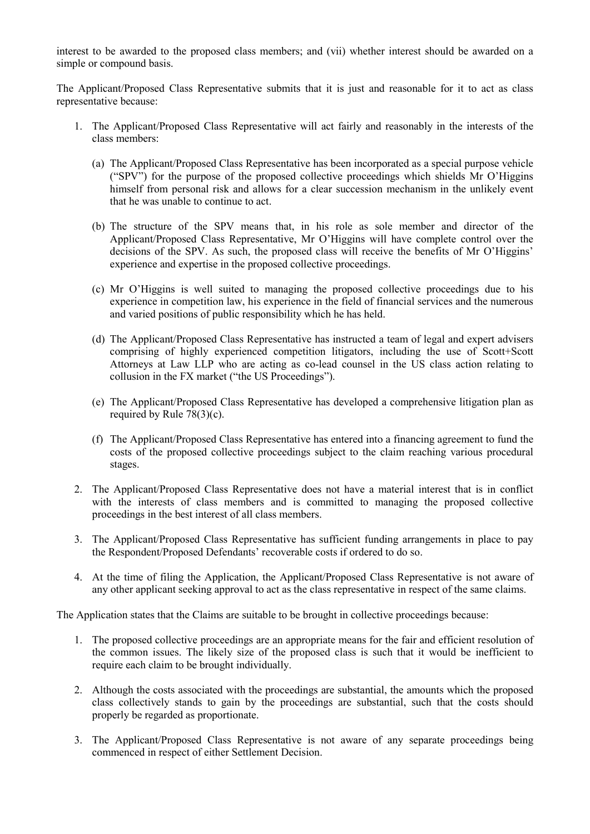interest to be awarded to the proposed class members; and (vii) whether interest should be awarded on a simple or compound basis.

The Applicant/Proposed Class Representative submits that it is just and reasonable for it to act as class representative because:

- 1. The Applicant/Proposed Class Representative will act fairly and reasonably in the interests of the class members:
	- (a) The Applicant/Proposed Class Representative has been incorporated as a special purpose vehicle ("SPV") for the purpose of the proposed collective proceedings which shields Mr O'Higgins himself from personal risk and allows for a clear succession mechanism in the unlikely event that he was unable to continue to act.
	- (b) The structure of the SPV means that, in his role as sole member and director of the Applicant/Proposed Class Representative, Mr O'Higgins will have complete control over the decisions of the SPV. As such, the proposed class will receive the benefits of Mr O'Higgins' experience and expertise in the proposed collective proceedings.
	- (c) Mr O'Higgins is well suited to managing the proposed collective proceedings due to his experience in competition law, his experience in the field of financial services and the numerous and varied positions of public responsibility which he has held.
	- (d) The Applicant/Proposed Class Representative has instructed a team of legal and expert advisers comprising of highly experienced competition litigators, including the use of Scott+Scott Attorneys at Law LLP who are acting as co-lead counsel in the US class action relating to collusion in the FX market ("the US Proceedings").
	- (e) The Applicant/Proposed Class Representative has developed a comprehensive litigation plan as required by Rule  $78(3)(c)$ .
	- (f) The Applicant/Proposed Class Representative has entered into a financing agreement to fund the costs of the proposed collective proceedings subject to the claim reaching various procedural stages.
- 2. The Applicant/Proposed Class Representative does not have a material interest that is in conflict with the interests of class members and is committed to managing the proposed collective proceedings in the best interest of all class members.
- 3. The Applicant/Proposed Class Representative has sufficient funding arrangements in place to pay the Respondent/Proposed Defendants' recoverable costs if ordered to do so.
- 4. At the time of filing the Application, the Applicant/Proposed Class Representative is not aware of any other applicant seeking approval to act as the class representative in respect of the same claims.

The Application states that the Claims are suitable to be brought in collective proceedings because:

- 1. The proposed collective proceedings are an appropriate means for the fair and efficient resolution of the common issues. The likely size of the proposed class is such that it would be inefficient to require each claim to be brought individually.
- 2. Although the costs associated with the proceedings are substantial, the amounts which the proposed class collectively stands to gain by the proceedings are substantial, such that the costs should properly be regarded as proportionate.
- 3. The Applicant/Proposed Class Representative is not aware of any separate proceedings being commenced in respect of either Settlement Decision.